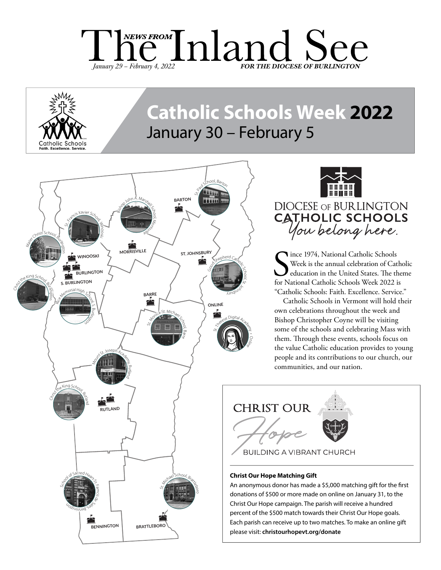



# **Catholic Schools Week 2022** January 30 – February 5





Since 1974, National Catholic Schools<br>Week is the annual celebration of Catholic Schools<br>for National Catholic Schools Week 2022 is Ince 1974, National Catholic Schools Week is the annual celebration of Catholic education in the United States. The theme "Catholic Schools: Faith. Excellence. Service."

Catholic Schools in Vermont will hold their own celebrations throughout the week and Bishop Christopher Coyne will be visiting some of the schools and celebrating Mass with them. Through these events, schools focus on the value Catholic education provides to young people and its contributions to our church, our communities, and our nation.



#### **Christ Our Hope Matching Gift**

An anonymous donor has made a \$5,000 matching gift for the first donations of \$500 or more made on online on January 31, to the Christ Our Hope campaign. The parish will receive a hundred percent of the \$500 match towards their Christ Our Hope goals. Each parish can receive up to two matches. To make an online gift please visit: **christourhopevt.org/donate**